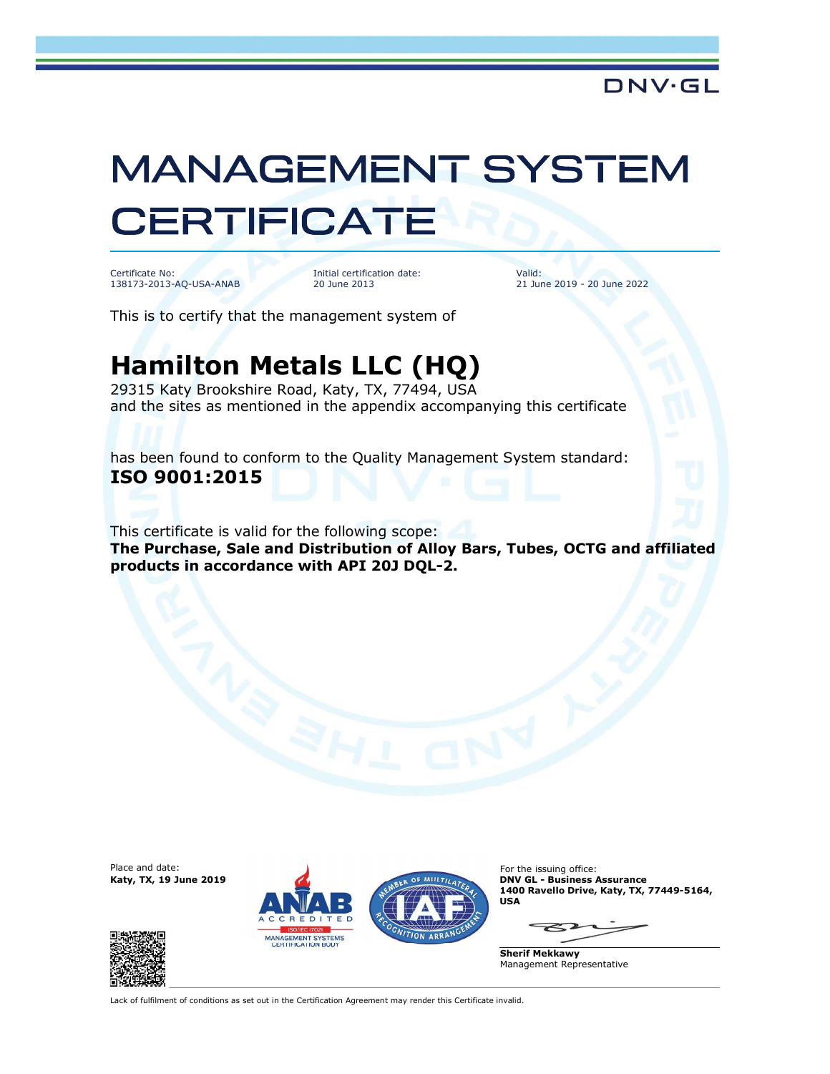## **MANAGEMENT SYSTEM CERTIFICATE**

Certificate No: 138173-2013-AQ-USA-ANAB

Initial certification date: 20 June 2013

Valid: 21 June 2019 - 20 June 2022

This is to certify that the management system of

## Hamilton Metals LLC (HQ)

29315 Katy Brookshire Road, Katy, TX, 77494, USA and the sites as mentioned in the appendix accompanying this certificate

has been found to conform to the Quality Management System standard: ISO 9001:2015

This certificate is valid for the following scope: The Purchase, Sale and Distribution of Alloy Bars, Tubes, OCTG and affiliated products in accordance with API 20J DQL-2.

Place and date:<br>Katy, TX, 19 June 2019







For the issuing office: **DNV GL - Business Assurance** 1400 Ravello Drive, Katy, TX, 77449-5164, USA

Sherif Mekkawy Management Representative

Lack of fulfilment of conditions as set out in the Certification Agreement may render this Certificate invalid.